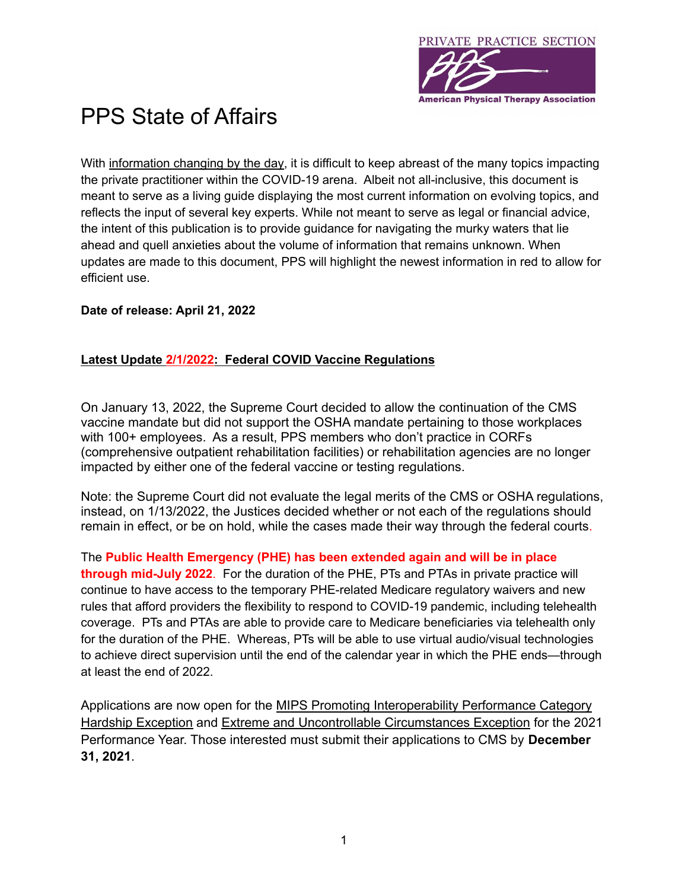

## PPS State of Affairs

With information changing by the day, it is difficult to keep abreast of the many topics impacting the private practitioner within the COVID-19 arena. Albeit not all-inclusive, this document is meant to serve as a living guide displaying the most current information on evolving topics, and reflects the input of several key experts. While not meant to serve as legal or financial advice, the intent of this publication is to provide guidance for navigating the murky waters that lie ahead and quell anxieties about the volume of information that remains unknown. When updates are made to this document, PPS will highlight the newest information in red to allow for efficient use.

## **Date of release: April 21, 2022**

## **Latest Update 2/1/2022: Federal COVID Vaccine [Regulations](https://ppsapta.org/?cycp8m)**

On January 13, 2022, the Supreme Court decided to allow the continuation of the CMS vaccine mandate but did not support the OSHA mandate pertaining to those workplaces with 100+ employees. As a result, PPS members who don't practice in CORFs (comprehensive outpatient rehabilitation facilities) or rehabilitation agencies are no longer impacted by either one of the federal vaccine or testing regulations.

Note: the Supreme Court did not evaluate the legal merits of the CMS or OSHA regulations, instead, on 1/13/2022, the Justices decided whether or not each of the regulations should remain in effect, or be on hold, while the cases made their way through the federal courts.

The **Public Health Emergency (PHE) has been extended again and will be in place through mid-July 2022**. For the duration of the PHE, PTs and PTAs in private practice will continue to have access to the temporary PHE-related Medicare regulatory waivers and new rules that afford providers the flexibility to respond to COVID-19 pandemic, including telehealth coverage. PTs and PTAs are able to provide care to Medicare beneficiaries via telehealth only for the duration of the PHE. Whereas, PTs will be able to use virtual audio/visual technologies to achieve direct supervision until the end of the calendar year in which the PHE ends—through at least the end of 2022.

Applications are now open for the MIPS Promoting [Interoperability](https://lnks.gd/l/eyJhbGciOiJIUzI1NiJ9.eyJlbWFpbCI6ImpzaGVsbGV5QDRtYmMuY29tIiwiYnVsbGV0aW5fbGlua19pZCI6IjEwNiIsInN1YnNjcmliZXJfaWQiOiI3NzI2OTcyNSIsImxpbmtfaWQiOiIxNDA3MjgyNjE1IiwidXJpIjoiYnAyOmRpZ2VzdCIsInVybCI6Imh0dHBzOi8vcXBwLmNtcy5nb3YvbWlwcy9leGNlcHRpb24tYXBwbGljYXRpb25zI3Byb21vdGluZ0ludGVyb3BlcmFiaWxpdHlIYXJkc2hpcEV4Y2VwdGlvbi0yMDIxIiwiYnVsbGV0aW5faWQiOiIyMDIxMDUxOS40MDc3NDQ1MSJ9.ggebx1rb1UCOv49-hyANZaijy0vAG0kD8SbGr2MXFKU) Performance Category Hardship [Exception](https://lnks.gd/l/eyJhbGciOiJIUzI1NiJ9.eyJlbWFpbCI6ImpzaGVsbGV5QDRtYmMuY29tIiwiYnVsbGV0aW5fbGlua19pZCI6IjEwNiIsInN1YnNjcmliZXJfaWQiOiI3NzI2OTcyNSIsImxpbmtfaWQiOiIxNDA3MjgyNjE1IiwidXJpIjoiYnAyOmRpZ2VzdCIsInVybCI6Imh0dHBzOi8vcXBwLmNtcy5nb3YvbWlwcy9leGNlcHRpb24tYXBwbGljYXRpb25zI3Byb21vdGluZ0ludGVyb3BlcmFiaWxpdHlIYXJkc2hpcEV4Y2VwdGlvbi0yMDIxIiwiYnVsbGV0aW5faWQiOiIyMDIxMDUxOS40MDc3NDQ1MSJ9.ggebx1rb1UCOv49-hyANZaijy0vAG0kD8SbGr2MXFKU) and Extreme and Uncontrollable [Circumstances](https://lnks.gd/l/eyJhbGciOiJIUzI1NiJ9.eyJlbWFpbCI6ImpzaGVsbGV5QDRtYmMuY29tIiwiYnVsbGV0aW5fbGlua19pZCI6IjEwNyIsInN1YnNjcmliZXJfaWQiOiI3NzI2OTcyNSIsImxpbmtfaWQiOiIxNDA3MjgyNjE5IiwidXJpIjoiYnAyOmRpZ2VzdCIsInVybCI6Imh0dHBzOi8vcXBwLmNtcy5nb3YvbWlwcy9leGNlcHRpb24tYXBwbGljYXRpb25zI2V4dHJlbWVDaXJjdW1zdGFuY2VzRXhjZXB0aW9uLTIwMjEiLCJidWxsZXRpbl9pZCI6IjIwMjEwNTE5LjQwNzc0NDUxIn0.RQVlWBAXpV5are_5vUhykJu3NxbuPrP6msV2jZX-f7g) Exception for the 2021 Performance Year. Those interested must submit their applications to CMS by **December 31, 2021**.